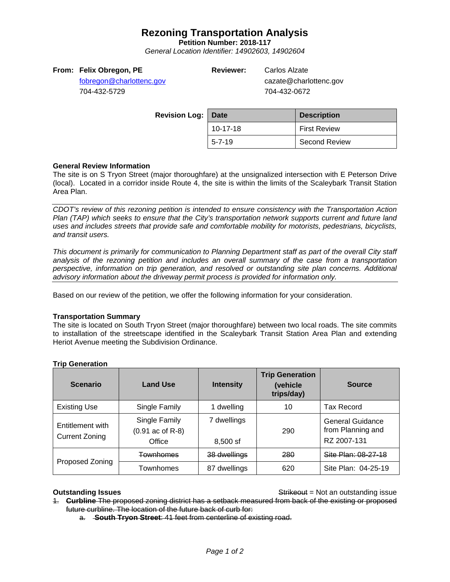# **Rezoning Transportation Analysis**

**Petition Number: 2018-117**

*General Location Identifier: 14902603, 14902604*

## **From: Felix Obregon, PE**

[fobregon@charlottenc.gov](mailto:fobregon@charlottenc.gov) 704-432-5729

**Reviewer:** Carlos Alzate

cazate@charlottenc.gov 704-432-0672

| <b>Revision Log:   Date</b> |                | <b>Description</b>   |  |
|-----------------------------|----------------|----------------------|--|
|                             | $10 - 17 - 18$ | <b>First Review</b>  |  |
|                             | $5 - 7 - 19$   | <b>Second Review</b> |  |

# **General Review Information**

The site is on S Tryon Street (major thoroughfare) at the unsignalized intersection with E Peterson Drive (local). Located in a corridor inside Route 4, the site is within the limits of the Scaleybark Transit Station Area Plan.

*CDOT's review of this rezoning petition is intended to ensure consistency with the Transportation Action Plan (TAP) which seeks to ensure that the City's transportation network supports current and future land uses and includes streets that provide safe and comfortable mobility for motorists, pedestrians, bicyclists, and transit users.*

*This document is primarily for communication to Planning Department staff as part of the overall City staff analysis of the rezoning petition and includes an overall summary of the case from a transportation perspective, information on trip generation, and resolved or outstanding site plan concerns. Additional advisory information about the driveway permit process is provided for information only.*

Based on our review of the petition, we offer the following information for your consideration.

### **Transportation Summary**

The site is located on South Tryon Street (major thoroughfare) between two local roads. The site commits to installation of the streetscape identified in the Scaleybark Transit Station Area Plan and extending Heriot Avenue meeting the Subdivision Ordinance.

| <b>Scenario</b>                           | <b>Land Use</b>                               | <b>Intensity</b>          | <b>Trip Generation</b><br>(vehicle<br>trips/day) | <b>Source</b>                                               |
|-------------------------------------------|-----------------------------------------------|---------------------------|--------------------------------------------------|-------------------------------------------------------------|
| <b>Existing Use</b>                       | Single Family                                 | 1 dwelling                | 10                                               | <b>Tax Record</b>                                           |
| Entitlement with<br><b>Current Zoning</b> | Single Family<br>$(0.91$ ac of R-8)<br>Office | 7 dwellings<br>$8.500$ sf | 290                                              | <b>General Guidance</b><br>from Planning and<br>RZ 2007-131 |
| Proposed Zoning                           | <b>Townhomes</b>                              | 38 dwellings              | 280                                              | Site Plan: 08-27-18                                         |
|                                           | Townhomes                                     | 87 dwellings              | 620                                              | Site Plan: 04-25-19                                         |

# **Trip Generation**

**Outstanding Issues** Strike out an outstanding issue is not a strike out and outstanding issue

1. **Curbline** The proposed zoning district has a setback measured from back of the existing or proposed future curbline. The location of the future back of curb for:

a. **South Tryon Street**: 41 feet from centerline of existing road.